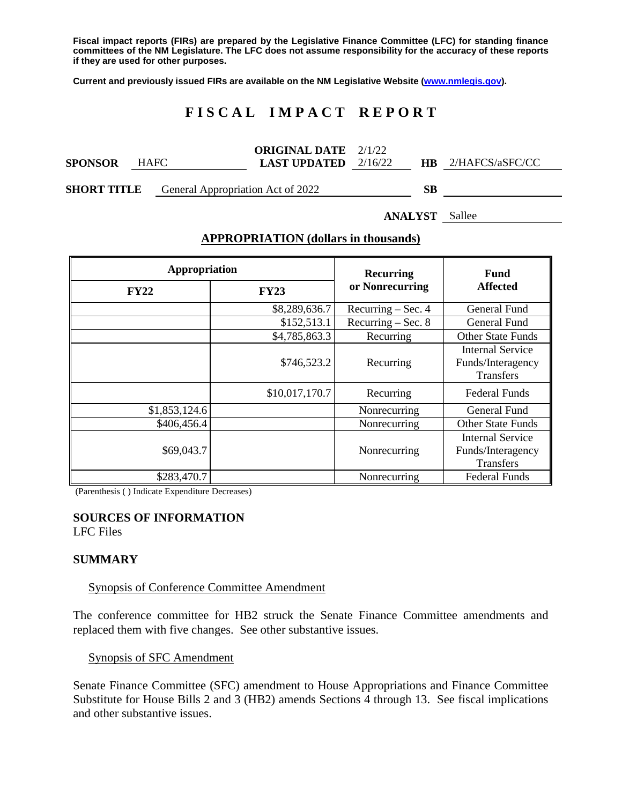**Fiscal impact reports (FIRs) are prepared by the Legislative Finance Committee (LFC) for standing finance committees of the NM Legislature. The LFC does not assume responsibility for the accuracy of these reports if they are used for other purposes.**

**Current and previously issued FIRs are available on the NM Legislative Website [\(www.nmlegis.gov\)](http://www.nmlegis.gov/).**

# **F I S C A L I M P A C T R E P O R T**

|                |             | <b>ORIGINAL DATE</b> 2/1/22   |           |                 |  |
|----------------|-------------|-------------------------------|-----------|-----------------|--|
| <b>SPONSOR</b> | <b>HAFC</b> | <b>LAST UPDATED</b> $2/16/22$ | <b>HB</b> | 2/HAFCS/aSFC/CC |  |
|                |             |                               |           |                 |  |

**SHORT TITLE** General Appropriation Act of 2022 **SB**

**ANALYST** Sallee

| Appropriation |                | Recurring            | <b>Fund</b><br><b>Affected</b>                            |  |
|---------------|----------------|----------------------|-----------------------------------------------------------|--|
| <b>FY22</b>   | <b>FY23</b>    | or Nonrecurring      |                                                           |  |
|               | \$8,289,636.7  | Recurring - Sec. 4   | <b>General Fund</b>                                       |  |
|               | \$152,513.1    | Recurring $-$ Sec. 8 | General Fund                                              |  |
|               | \$4,785,863.3  | Recurring            | <b>Other State Funds</b>                                  |  |
|               | \$746,523.2    | Recurring            | Internal Service<br>Funds/Interagency<br>Transfers        |  |
|               | \$10,017,170.7 | Recurring            | <b>Federal Funds</b>                                      |  |
| \$1,853,124.6 |                | Nonrecurring         | General Fund                                              |  |
| \$406,456.4   |                | Nonrecurring         | <b>Other State Funds</b>                                  |  |
| \$69,043.7    |                | Nonrecurring         | Internal Service<br>Funds/Interagency<br><b>Transfers</b> |  |
| \$283,470.7   |                | Nonrecurring         | <b>Federal Funds</b>                                      |  |

### **APPROPRIATION (dollars in thousands)**

(Parenthesis ( ) Indicate Expenditure Decreases)

### **SOURCES OF INFORMATION**

LFC Files

### **SUMMARY**

#### Synopsis of Conference Committee Amendment

The conference committee for HB2 struck the Senate Finance Committee amendments and replaced them with five changes. See other substantive issues.

### Synopsis of SFC Amendment

Senate Finance Committee (SFC) amendment to House Appropriations and Finance Committee Substitute for House Bills 2 and 3 (HB2) amends Sections 4 through 13. See fiscal implications and other substantive issues.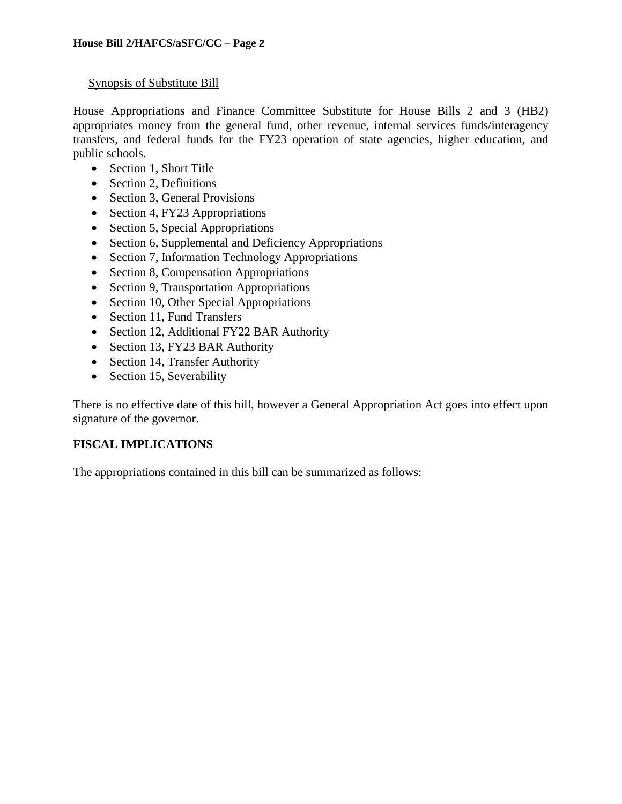## Synopsis of Substitute Bill

House Appropriations and Finance Committee Substitute for House Bills 2 and 3 (HB2) appropriates money from the general fund, other revenue, internal services funds/interagency transfers, and federal funds for the FY23 operation of state agencies, higher education, and public schools.

- Section 1, Short Title
- Section 2, Definitions
- Section 3, General Provisions
- Section 4, FY23 Appropriations
- Section 5, Special Appropriations
- Section 6, Supplemental and Deficiency Appropriations
- Section 7, Information Technology Appropriations
- Section 8, Compensation Appropriations
- Section 9, Transportation Appropriations
- Section 10, Other Special Appropriations
- Section 11, Fund Transfers
- Section 12, Additional FY22 BAR Authority
- Section 13, FY23 BAR Authority
- Section 14, Transfer Authority
- Section 15, Severability

There is no effective date of this bill, however a General Appropriation Act goes into effect upon signature of the governor.

# **FISCAL IMPLICATIONS**

The appropriations contained in this bill can be summarized as follows: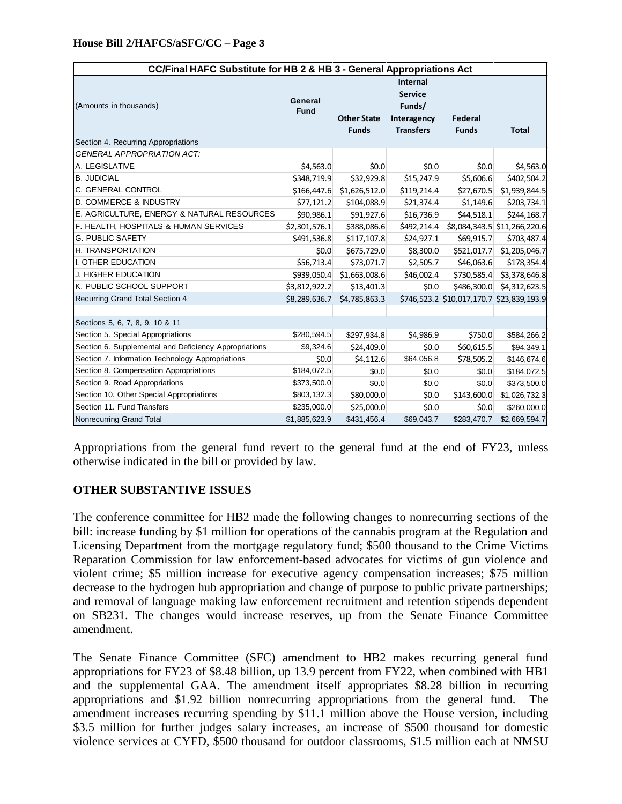| CC/Final HAFC Substitute for HB 2 & HB 3 - General Appropriations Act |                        |                                    |                                                                         |                         |                                           |  |  |  |
|-----------------------------------------------------------------------|------------------------|------------------------------------|-------------------------------------------------------------------------|-------------------------|-------------------------------------------|--|--|--|
| (Amounts in thousands)<br>Section 4. Recurring Appropriations         | General<br><b>Fund</b> | <b>Other State</b><br><b>Funds</b> | Internal<br><b>Service</b><br>Funds/<br>Interagency<br><b>Transfers</b> | Federal<br><b>Funds</b> | <b>Total</b>                              |  |  |  |
| <b>GENERAL APPROPRIATION ACT:</b>                                     |                        |                                    |                                                                         |                         |                                           |  |  |  |
| A. LEGISLATIVE                                                        | \$4,563.0              | \$0.0                              | \$0.0                                                                   | \$0.0                   | \$4,563.0                                 |  |  |  |
| <b>B. JUDICIAL</b>                                                    | \$348,719.9            | \$32,929.8                         | \$15,247.9                                                              | \$5,606.6               | \$402,504.2                               |  |  |  |
| C. GENERAL CONTROL                                                    | \$166,447.6            | \$1,626,512.0                      | \$119,214.4                                                             | \$27,670.5              | \$1,939,844.5                             |  |  |  |
| D. COMMERCE & INDUSTRY                                                | \$77,121.2             | \$104,088.9                        | \$21,374.4                                                              | \$1,149.6               | \$203,734.1                               |  |  |  |
| E. AGRICULTURE, ENERGY & NATURAL RESOURCES                            | \$90,986.1             | \$91,927.6                         | \$16,736.9                                                              | \$44,518.1              | \$244,168.7                               |  |  |  |
| F. HEALTH, HOSPITALS & HUMAN SERVICES                                 | \$2,301,576.1          | \$388,086.6                        | \$492,214.4                                                             |                         | \$8,084,343.5 \$11,266,220.6              |  |  |  |
| <b>G. PUBLIC SAFETY</b>                                               | \$491,536.8            | \$117,107.8                        | \$24,927.1                                                              | \$69,915.7              | \$703,487.4                               |  |  |  |
| H. TRANSPORTATION                                                     | \$0.0                  | \$675,729.0                        | \$8,300.0                                                               | \$521,017.7             | \$1,205,046.7                             |  |  |  |
| I. OTHER EDUCATION                                                    | \$56,713.4             | \$73,071.7                         | \$2,505.7                                                               | \$46,063.6              | \$178,354.4                               |  |  |  |
| J. HIGHER EDUCATION                                                   | \$939,050.4            | \$1,663,008.6                      | \$46,002.4                                                              | \$730,585.4             | \$3,378,646.8                             |  |  |  |
| K. PUBLIC SCHOOL SUPPORT                                              | \$3,812,922.2          | \$13,401.3                         | \$0.0                                                                   | \$486,300.0             | \$4,312,623.5                             |  |  |  |
| Recurring Grand Total Section 4                                       | \$8,289,636.7          | \$4,785,863.3                      |                                                                         |                         | \$746,523.2 \$10,017,170.7 \$23,839,193.9 |  |  |  |
|                                                                       |                        |                                    |                                                                         |                         |                                           |  |  |  |
| Sections 5, 6, 7, 8, 9, 10 & 11                                       |                        |                                    |                                                                         |                         |                                           |  |  |  |
| Section 5. Special Appropriations                                     | \$280,594.5            | \$297,934.8                        | \$4,986.9                                                               | \$750.0                 | \$584,266.2                               |  |  |  |
| Section 6. Supplemental and Deficiency Appropriations                 | \$9,324.6              | \$24,409.0                         | \$0.0                                                                   | \$60,615.5              | \$94,349.1                                |  |  |  |
| Section 7. Information Technology Appropriations                      | \$0.0\$                | \$4,112.6                          | \$64,056.8                                                              | \$78,505.2              | \$146,674.6                               |  |  |  |
| Section 8. Compensation Appropriations                                | \$184,072.5            | \$0.0                              | \$0.0                                                                   | \$0.0                   | \$184,072.5                               |  |  |  |
| Section 9. Road Appropriations                                        | \$373,500.0            | \$0.0                              | \$0.0                                                                   | \$0.0                   | \$373,500.0                               |  |  |  |
| Section 10. Other Special Appropriations                              | \$803,132.3            | \$80,000.0                         | \$0.0                                                                   | \$143,600.0             | \$1,026,732.3                             |  |  |  |
| Section 11. Fund Transfers                                            | \$235,000.0            | \$25,000.0                         | \$0.0                                                                   | \$0.0                   | \$260,000.0                               |  |  |  |
| Nonrecurring Grand Total                                              | \$1,885,623.9          | \$431,456.4                        | \$69,043.7                                                              | \$283,470.7             | \$2,669,594.7                             |  |  |  |

Appropriations from the general fund revert to the general fund at the end of FY23, unless otherwise indicated in the bill or provided by law.

### **OTHER SUBSTANTIVE ISSUES**

The conference committee for HB2 made the following changes to nonrecurring sections of the bill: increase funding by \$1 million for operations of the cannabis program at the Regulation and Licensing Department from the mortgage regulatory fund; \$500 thousand to the Crime Victims Reparation Commission for law enforcement-based advocates for victims of gun violence and violent crime; \$5 million increase for executive agency compensation increases; \$75 million decrease to the hydrogen hub appropriation and change of purpose to public private partnerships; and removal of language making law enforcement recruitment and retention stipends dependent on SB231. The changes would increase reserves, up from the Senate Finance Committee amendment.

The Senate Finance Committee (SFC) amendment to HB2 makes recurring general fund appropriations for FY23 of \$8.48 billion, up 13.9 percent from FY22, when combined with HB1 and the supplemental GAA. The amendment itself appropriates \$8.28 billion in recurring appropriations and \$1.92 billion nonrecurring appropriations from the general fund. amendment increases recurring spending by \$11.1 million above the House version, including \$3.5 million for further judges salary increases, an increase of \$500 thousand for domestic violence services at CYFD, \$500 thousand for outdoor classrooms, \$1.5 million each at NMSU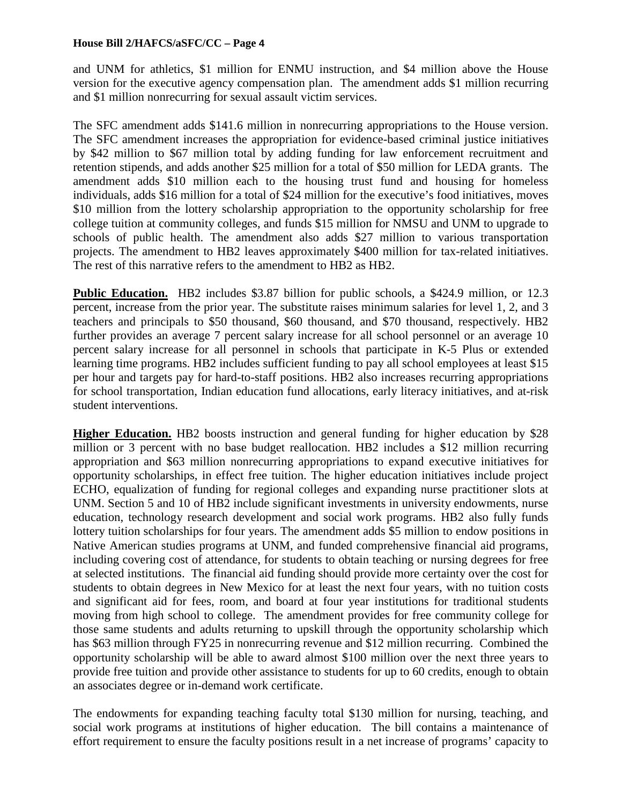and UNM for athletics, \$1 million for ENMU instruction, and \$4 million above the House version for the executive agency compensation plan. The amendment adds \$1 million recurring and \$1 million nonrecurring for sexual assault victim services.

The SFC amendment adds \$141.6 million in nonrecurring appropriations to the House version. The SFC amendment increases the appropriation for evidence-based criminal justice initiatives by \$42 million to \$67 million total by adding funding for law enforcement recruitment and retention stipends, and adds another \$25 million for a total of \$50 million for LEDA grants. The amendment adds \$10 million each to the housing trust fund and housing for homeless individuals, adds \$16 million for a total of \$24 million for the executive's food initiatives, moves \$10 million from the lottery scholarship appropriation to the opportunity scholarship for free college tuition at community colleges, and funds \$15 million for NMSU and UNM to upgrade to schools of public health. The amendment also adds \$27 million to various transportation projects. The amendment to HB2 leaves approximately \$400 million for tax-related initiatives. The rest of this narrative refers to the amendment to HB2 as HB2.

**Public Education.** HB2 includes \$3.87 billion for public schools, a \$424.9 million, or 12.3 percent, increase from the prior year. The substitute raises minimum salaries for level 1, 2, and 3 teachers and principals to \$50 thousand, \$60 thousand, and \$70 thousand, respectively. HB2 further provides an average 7 percent salary increase for all school personnel or an average 10 percent salary increase for all personnel in schools that participate in K-5 Plus or extended learning time programs. HB2 includes sufficient funding to pay all school employees at least \$15 per hour and targets pay for hard-to-staff positions. HB2 also increases recurring appropriations for school transportation, Indian education fund allocations, early literacy initiatives, and at-risk student interventions.

**Higher Education.** HB2 boosts instruction and general funding for higher education by \$28 million or 3 percent with no base budget reallocation. HB2 includes a \$12 million recurring appropriation and \$63 million nonrecurring appropriations to expand executive initiatives for opportunity scholarships, in effect free tuition. The higher education initiatives include project ECHO, equalization of funding for regional colleges and expanding nurse practitioner slots at UNM. Section 5 and 10 of HB2 include significant investments in university endowments, nurse education, technology research development and social work programs. HB2 also fully funds lottery tuition scholarships for four years. The amendment adds \$5 million to endow positions in Native American studies programs at UNM, and funded comprehensive financial aid programs, including covering cost of attendance, for students to obtain teaching or nursing degrees for free at selected institutions. The financial aid funding should provide more certainty over the cost for students to obtain degrees in New Mexico for at least the next four years, with no tuition costs and significant aid for fees, room, and board at four year institutions for traditional students moving from high school to college. The amendment provides for free community college for those same students and adults returning to upskill through the opportunity scholarship which has \$63 million through FY25 in nonrecurring revenue and \$12 million recurring. Combined the opportunity scholarship will be able to award almost \$100 million over the next three years to provide free tuition and provide other assistance to students for up to 60 credits, enough to obtain an associates degree or in-demand work certificate.

The endowments for expanding teaching faculty total \$130 million for nursing, teaching, and social work programs at institutions of higher education. The bill contains a maintenance of effort requirement to ensure the faculty positions result in a net increase of programs' capacity to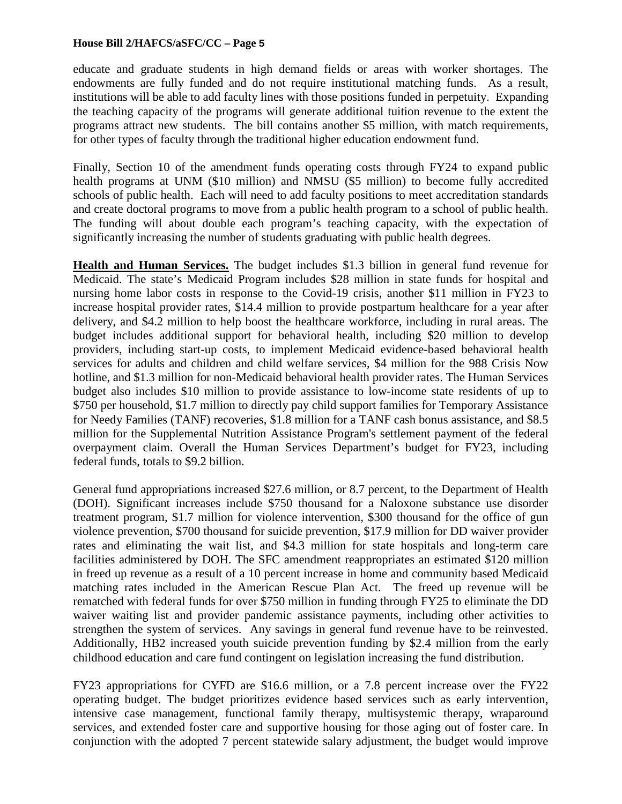educate and graduate students in high demand fields or areas with worker shortages. The endowments are fully funded and do not require institutional matching funds. As a result, institutions will be able to add faculty lines with those positions funded in perpetuity. Expanding the teaching capacity of the programs will generate additional tuition revenue to the extent the programs attract new students. The bill contains another \$5 million, with match requirements, for other types of faculty through the traditional higher education endowment fund.

Finally, Section 10 of the amendment funds operating costs through FY24 to expand public health programs at UNM (\$10 million) and NMSU (\$5 million) to become fully accredited schools of public health. Each will need to add faculty positions to meet accreditation standards and create doctoral programs to move from a public health program to a school of public health. The funding will about double each program's teaching capacity, with the expectation of significantly increasing the number of students graduating with public health degrees.

**Health and Human Services.** The budget includes \$1.3 billion in general fund revenue for Medicaid. The state's Medicaid Program includes \$28 million in state funds for hospital and nursing home labor costs in response to the Covid-19 crisis, another \$11 million in FY23 to increase hospital provider rates, \$14.4 million to provide postpartum healthcare for a year after delivery, and \$4.2 million to help boost the healthcare workforce, including in rural areas. The budget includes additional support for behavioral health, including \$20 million to develop providers, including start-up costs, to implement Medicaid evidence-based behavioral health services for adults and children and child welfare services, \$4 million for the 988 Crisis Now hotline, and \$1.3 million for non-Medicaid behavioral health provider rates. The Human Services budget also includes \$10 million to provide assistance to low-income state residents of up to \$750 per household, \$1.7 million to directly pay child support families for Temporary Assistance for Needy Families (TANF) recoveries, \$1.8 million for a TANF cash bonus assistance, and \$8.5 million for the Supplemental Nutrition Assistance Program's settlement payment of the federal overpayment claim. Overall the Human Services Department's budget for FY23, including federal funds, totals to \$9.2 billion.

General fund appropriations increased \$27.6 million, or 8.7 percent, to the Department of Health (DOH). Significant increases include \$750 thousand for a Naloxone substance use disorder treatment program, \$1.7 million for violence intervention, \$300 thousand for the office of gun violence prevention, \$700 thousand for suicide prevention, \$17.9 million for DD waiver provider rates and eliminating the wait list, and \$4.3 million for state hospitals and long-term care facilities administered by DOH. The SFC amendment reappropriates an estimated \$120 million in freed up revenue as a result of a 10 percent increase in home and community based Medicaid matching rates included in the American Rescue Plan Act. The freed up revenue will be rematched with federal funds for over \$750 million in funding through FY25 to eliminate the DD waiver waiting list and provider pandemic assistance payments, including other activities to strengthen the system of services. Any savings in general fund revenue have to be reinvested. Additionally, HB2 increased youth suicide prevention funding by \$2.4 million from the early childhood education and care fund contingent on legislation increasing the fund distribution.

FY23 appropriations for CYFD are \$16.6 million, or a 7.8 percent increase over the FY22 operating budget. The budget prioritizes evidence based services such as early intervention, intensive case management, functional family therapy, multisystemic therapy, wraparound services, and extended foster care and supportive housing for those aging out of foster care. In conjunction with the adopted 7 percent statewide salary adjustment, the budget would improve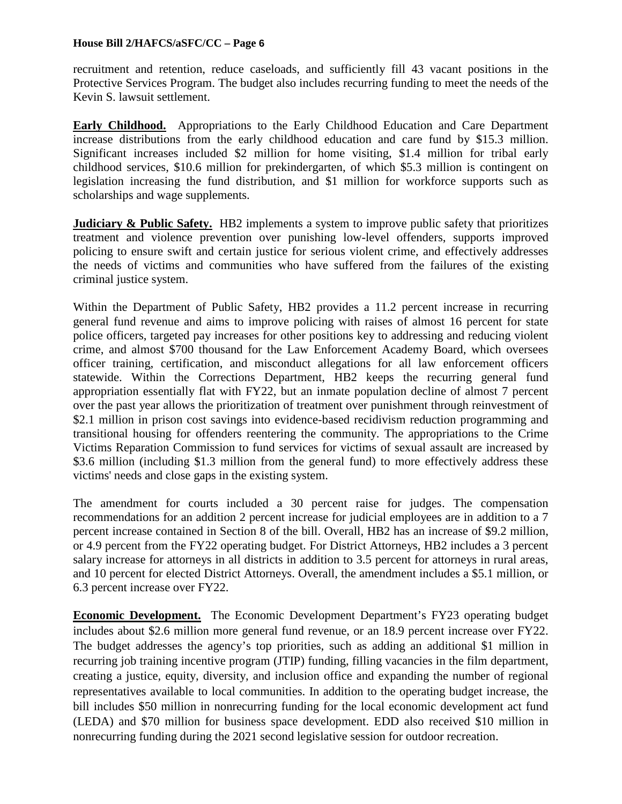recruitment and retention, reduce caseloads, and sufficiently fill 43 vacant positions in the Protective Services Program. The budget also includes recurring funding to meet the needs of the Kevin S. lawsuit settlement.

**Early Childhood.** Appropriations to the Early Childhood Education and Care Department increase distributions from the early childhood education and care fund by \$15.3 million. Significant increases included \$2 million for home visiting, \$1.4 million for tribal early childhood services, \$10.6 million for prekindergarten, of which \$5.3 million is contingent on legislation increasing the fund distribution, and \$1 million for workforce supports such as scholarships and wage supplements.

**Judiciary & Public Safety.** HB2 implements a system to improve public safety that prioritizes treatment and violence prevention over punishing low-level offenders, supports improved policing to ensure swift and certain justice for serious violent crime, and effectively addresses the needs of victims and communities who have suffered from the failures of the existing criminal justice system.

Within the Department of Public Safety, HB2 provides a 11.2 percent increase in recurring general fund revenue and aims to improve policing with raises of almost 16 percent for state police officers, targeted pay increases for other positions key to addressing and reducing violent crime, and almost \$700 thousand for the Law Enforcement Academy Board, which oversees officer training, certification, and misconduct allegations for all law enforcement officers statewide. Within the Corrections Department, HB2 keeps the recurring general fund appropriation essentially flat with FY22, but an inmate population decline of almost 7 percent over the past year allows the prioritization of treatment over punishment through reinvestment of \$2.1 million in prison cost savings into evidence-based recidivism reduction programming and transitional housing for offenders reentering the community. The appropriations to the Crime Victims Reparation Commission to fund services for victims of sexual assault are increased by \$3.6 million (including \$1.3 million from the general fund) to more effectively address these victims' needs and close gaps in the existing system.

The amendment for courts included a 30 percent raise for judges. The compensation recommendations for an addition 2 percent increase for judicial employees are in addition to a 7 percent increase contained in Section 8 of the bill. Overall, HB2 has an increase of \$9.2 million, or 4.9 percent from the FY22 operating budget. For District Attorneys, HB2 includes a 3 percent salary increase for attorneys in all districts in addition to 3.5 percent for attorneys in rural areas, and 10 percent for elected District Attorneys. Overall, the amendment includes a \$5.1 million, or 6.3 percent increase over FY22.

**Economic Development.** The Economic Development Department's FY23 operating budget includes about \$2.6 million more general fund revenue, or an 18.9 percent increase over FY22. The budget addresses the agency's top priorities, such as adding an additional \$1 million in recurring job training incentive program (JTIP) funding, filling vacancies in the film department, creating a justice, equity, diversity, and inclusion office and expanding the number of regional representatives available to local communities. In addition to the operating budget increase, the bill includes \$50 million in nonrecurring funding for the local economic development act fund (LEDA) and \$70 million for business space development. EDD also received \$10 million in nonrecurring funding during the 2021 second legislative session for outdoor recreation.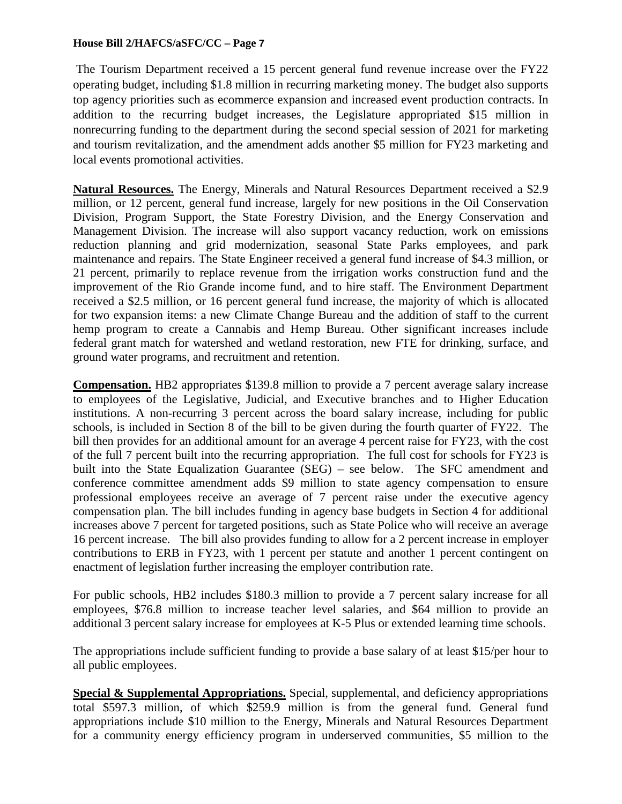The Tourism Department received a 15 percent general fund revenue increase over the FY22 operating budget, including \$1.8 million in recurring marketing money. The budget also supports top agency priorities such as ecommerce expansion and increased event production contracts. In addition to the recurring budget increases, the Legislature appropriated \$15 million in nonrecurring funding to the department during the second special session of 2021 for marketing and tourism revitalization, and the amendment adds another \$5 million for FY23 marketing and local events promotional activities.

**Natural Resources.** The Energy, Minerals and Natural Resources Department received a \$2.9 million, or 12 percent, general fund increase, largely for new positions in the Oil Conservation Division, Program Support, the State Forestry Division, and the Energy Conservation and Management Division. The increase will also support vacancy reduction, work on emissions reduction planning and grid modernization, seasonal State Parks employees, and park maintenance and repairs. The State Engineer received a general fund increase of \$4.3 million, or 21 percent, primarily to replace revenue from the irrigation works construction fund and the improvement of the Rio Grande income fund, and to hire staff. The Environment Department received a \$2.5 million, or 16 percent general fund increase, the majority of which is allocated for two expansion items: a new Climate Change Bureau and the addition of staff to the current hemp program to create a Cannabis and Hemp Bureau. Other significant increases include federal grant match for watershed and wetland restoration, new FTE for drinking, surface, and ground water programs, and recruitment and retention.

**Compensation.** HB2 appropriates \$139.8 million to provide a 7 percent average salary increase to employees of the Legislative, Judicial, and Executive branches and to Higher Education institutions. A non-recurring 3 percent across the board salary increase, including for public schools, is included in Section 8 of the bill to be given during the fourth quarter of FY22. The bill then provides for an additional amount for an average 4 percent raise for FY23, with the cost of the full 7 percent built into the recurring appropriation. The full cost for schools for FY23 is built into the State Equalization Guarantee (SEG) – see below. The SFC amendment and conference committee amendment adds \$9 million to state agency compensation to ensure professional employees receive an average of 7 percent raise under the executive agency compensation plan. The bill includes funding in agency base budgets in Section 4 for additional increases above 7 percent for targeted positions, such as State Police who will receive an average 16 percent increase. The bill also provides funding to allow for a 2 percent increase in employer contributions to ERB in FY23, with 1 percent per statute and another 1 percent contingent on enactment of legislation further increasing the employer contribution rate.

For public schools, HB2 includes \$180.3 million to provide a 7 percent salary increase for all employees, \$76.8 million to increase teacher level salaries, and \$64 million to provide an additional 3 percent salary increase for employees at K-5 Plus or extended learning time schools.

The appropriations include sufficient funding to provide a base salary of at least \$15/per hour to all public employees.

**Special & Supplemental Appropriations.** Special, supplemental, and deficiency appropriations total \$597.3 million, of which \$259.9 million is from the general fund. General fund appropriations include \$10 million to the Energy, Minerals and Natural Resources Department for a community energy efficiency program in underserved communities, \$5 million to the